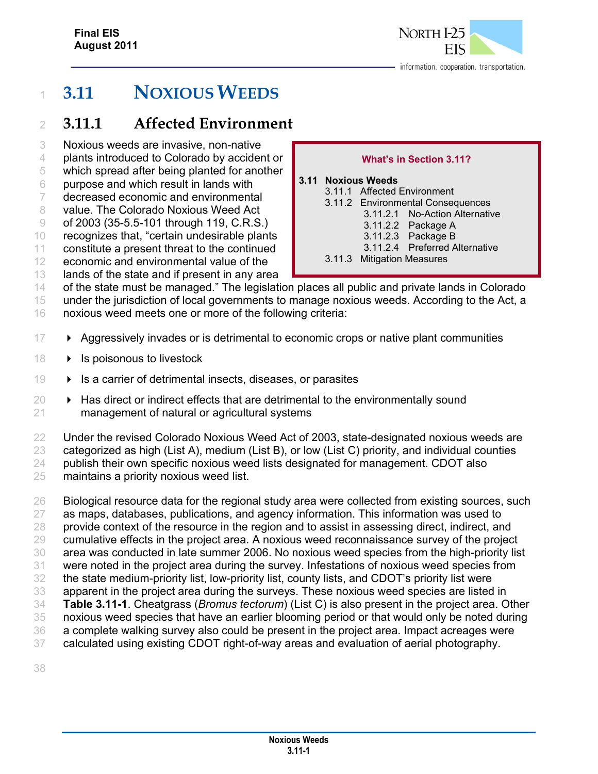

**What's in Section 3.11?** 

3.11.2.1 No-Action Alternative

3.11.2.4 Preferred Alternative

3.11.2 Environmental Consequences

3.11.2.2 Package A 3.11.2.3 Package B

3.11.1 Affected Environment

3.11.3 Mitigation Measures

**3.11 Noxious Weeds** 

# **3.11 NOXIOUS WEEDS**

## **3.11.1 Affected Environment**

- Noxious weeds are invasive, non-native
- plants introduced to Colorado by accident or
- which spread after being planted for another
- purpose and which result in lands with
- decreased economic and environmental
- 8 value. The Colorado Noxious Weed Act
- of 2003 (35-5.5-101 through 119, C.R.S.)
- recognizes that, "certain undesirable plants
- constitute a present threat to the continued
- economic and environmental value of the
- 13 lands of the state and if present in any area
- of the state must be managed." The legislation places all public and private lands in Colorado
- under the jurisdiction of local governments to manage noxious weeds. According to the Act, a
- noxious weed meets one or more of the following criteria:
- **Aggressively invades or is detrimental to economic crops or native plant communities**
- $18 \rightarrow$  Is poisonous to livestock
- Is a carrier of detrimental insects, diseases, or parasites
- $\rightarrow$  Has direct or indirect effects that are detrimental to the environmentally sound management of natural or agricultural systems
- Under the revised Colorado Noxious Weed Act of 2003, state-designated noxious weeds are categorized as high (List A), medium (List B), or low (List C) priority, and individual counties publish their own specific noxious weed lists designated for management. CDOT also maintains a priority noxious weed list.
- Biological resource data for the regional study area were collected from existing sources, such as maps, databases, publications, and agency information. This information was used to 28 provide context of the resource in the region and to assist in assessing direct, indirect, and cumulative effects in the project area. A noxious weed reconnaissance survey of the project area was conducted in late summer 2006. No noxious weed species from the high-priority list were noted in the project area during the survey. Infestations of noxious weed species from the state medium-priority list, low-priority list, county lists, and CDOT's priority list were apparent in the project area during the surveys. These noxious weed species are listed in **Table 3.11-1**. Cheatgrass (*Bromus tectorum*) (List C) is also present in the project area. Other noxious weed species that have an earlier blooming period or that would only be noted during a complete walking survey also could be present in the project area. Impact acreages were calculated using existing CDOT right-of-way areas and evaluation of aerial photography.
-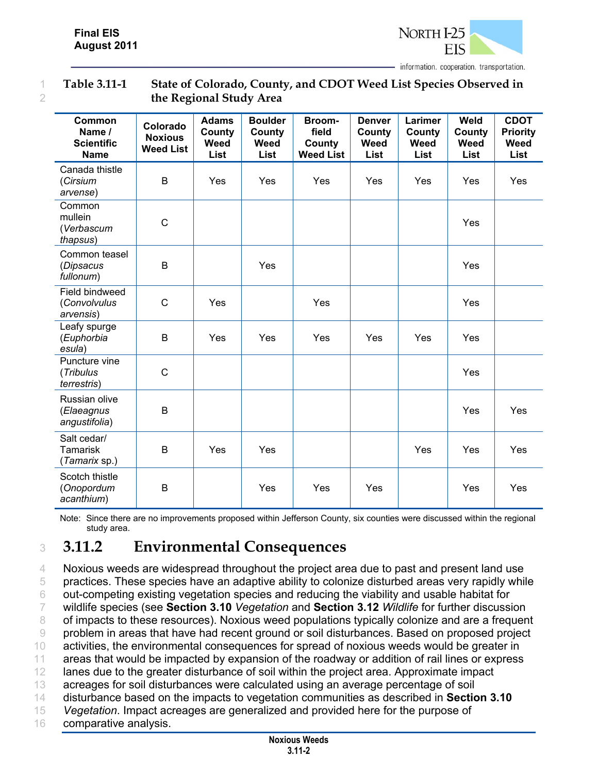

#### 1 **Table 3.11-1 State of Colorado, County, and CDOT Weed List Species Observed in**  2 **the Regional Study Area**

| Common<br>Name /<br><b>Scientific</b><br><b>Name</b> | Colorado<br><b>Noxious</b><br><b>Weed List</b> | <b>Adams</b><br>County<br>Weed<br>List | <b>Boulder</b><br>County<br>Weed<br>List | Broom-<br>field<br>County<br><b>Weed List</b> | <b>Denver</b><br>County<br>Weed<br>List | Larimer<br>County<br>Weed<br>List | Weld<br>County<br>Weed<br><b>List</b> | <b>CDOT</b><br><b>Priority</b><br>Weed<br>List |
|------------------------------------------------------|------------------------------------------------|----------------------------------------|------------------------------------------|-----------------------------------------------|-----------------------------------------|-----------------------------------|---------------------------------------|------------------------------------------------|
| Canada thistle<br>(Cirsium<br>arvense)               | B                                              | Yes                                    | Yes                                      | Yes                                           | Yes                                     | Yes                               | Yes                                   | Yes                                            |
| Common<br>mullein<br>(Verbascum<br>thapsus)          | $\mathsf C$                                    |                                        |                                          |                                               |                                         |                                   | Yes                                   |                                                |
| Common teasel<br>(Dipsacus<br>fullonum)              | B                                              |                                        | <b>Yes</b>                               |                                               |                                         |                                   | Yes                                   |                                                |
| Field bindweed<br>(Convolvulus<br>arvensis)          | $\mathsf{C}$                                   | Yes                                    |                                          | Yes                                           |                                         |                                   | Yes                                   |                                                |
| Leafy spurge<br>(Euphorbia<br>esula)                 | B                                              | Yes                                    | Yes                                      | Yes                                           | Yes                                     | Yes                               | Yes                                   |                                                |
| Puncture vine<br>(Tribulus<br>terrestris)            | $\mathsf{C}$                                   |                                        |                                          |                                               |                                         |                                   | Yes                                   |                                                |
| Russian olive<br>(Elaeagnus<br>angustifolia)         | B                                              |                                        |                                          |                                               |                                         |                                   | Yes                                   | Yes                                            |
| Salt cedar/<br><b>Tamarisk</b><br>(Tamarix sp.)      | B                                              | Yes                                    | Yes                                      |                                               |                                         | Yes                               | Yes                                   | Yes                                            |
| Scotch thistle<br>(Onopordum<br>acanthium)           | B                                              |                                        | Yes                                      | Yes                                           | Yes                                     |                                   | Yes                                   | Yes                                            |

Note: Since there are no improvements proposed within Jefferson County, six counties were discussed within the regional study area.

# <sup>3</sup> **3.11.2 Environmental Consequences**

4 Noxious weeds are widespread throughout the project area due to past and present land use practices. These species have an adaptive ability to colonize disturbed areas very rapidly while out-competing existing vegetation species and reducing the viability and usable habitat for wildlife species (see **Section 3.10** *Vegetation* and **Section 3.12** *Wildlife* for further discussion 8 of impacts to these resources). Noxious weed populations typically colonize and are a frequent problem in areas that have had recent ground or soil disturbances. Based on proposed project 10 activities, the environmental consequences for spread of noxious weeds would be greater in areas that would be impacted by expansion of the roadway or addition of rail lines or express 12 lanes due to the greater disturbance of soil within the project area. Approximate impact acreages for soil disturbances were calculated using an average percentage of soil disturbance based on the impacts to vegetation communities as described in **Section 3.10** *Vegetation*. Impact acreages are generalized and provided here for the purpose of comparative analysis.

> **Noxious Weeds 3.11-2**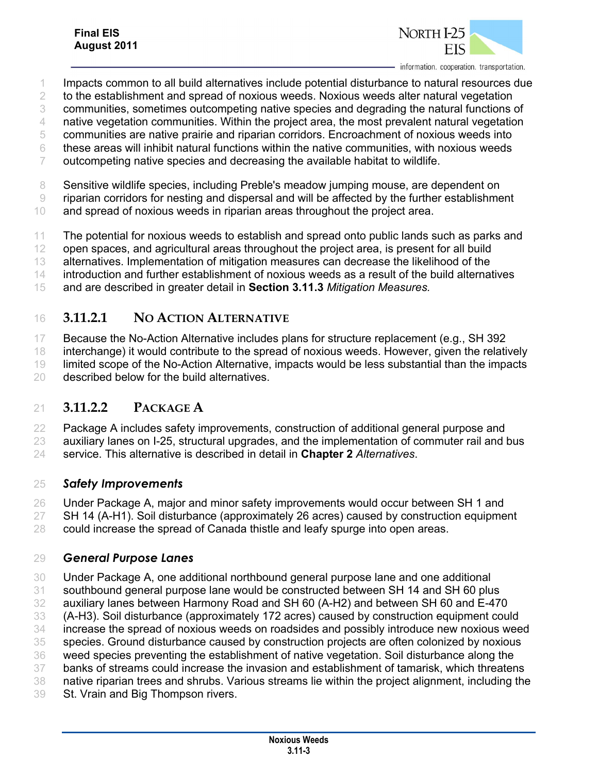

information, cooperation, transportation.

- Impacts common to all build alternatives include potential disturbance to natural resources due
- to the establishment and spread of noxious weeds. Noxious weeds alter natural vegetation
- communities, sometimes outcompeting native species and degrading the natural functions of

native vegetation communities. Within the project area, the most prevalent natural vegetation

- communities are native prairie and riparian corridors. Encroachment of noxious weeds into
- these areas will inhibit natural functions within the native communities, with noxious weeds
- outcompeting native species and decreasing the available habitat to wildlife.
- Sensitive wildlife species, including Preble's meadow jumping mouse, are dependent on
- riparian corridors for nesting and dispersal and will be affected by the further establishment
- and spread of noxious weeds in riparian areas throughout the project area.
- 11 The potential for noxious weeds to establish and spread onto public lands such as parks and
- 12 open spaces, and agricultural areas throughout the project area, is present for all build
- alternatives. Implementation of mitigation measures can decrease the likelihood of the
- introduction and further establishment of noxious weeds as a result of the build alternatives
- and are described in greater detail in **Section 3.11.3** *Mitigation Measures.*
- **3.11.2.1 NO ACTION ALTERNATIVE**
- Because the No-Action Alternative includes plans for structure replacement (e.g., SH 392
- interchange) it would contribute to the spread of noxious weeds. However, given the relatively
- limited scope of the No-Action Alternative, impacts would be less substantial than the impacts
- described below for the build alternatives.

## **3.11.2.2 PACKAGE A**

- Package A includes safety improvements, construction of additional general purpose and
- auxiliary lanes on I-25, structural upgrades, and the implementation of commuter rail and bus
- service. This alternative is described in detail in **Chapter 2** *Alternatives*.

### *Safety Improvements*

- Under Package A, major and minor safety improvements would occur between SH 1 and
- SH 14 (A-H1). Soil disturbance (approximately 26 acres) caused by construction equipment
- could increase the spread of Canada thistle and leafy spurge into open areas.

## *General Purpose Lanes*

- Under Package A, one additional northbound general purpose lane and one additional
- southbound general purpose lane would be constructed between SH 14 and SH 60 plus
- auxiliary lanes between Harmony Road and SH 60 (A-H2) and between SH 60 and E-470
- (A-H3). Soil disturbance (approximately 172 acres) caused by construction equipment could
- increase the spread of noxious weeds on roadsides and possibly introduce new noxious weed
- species. Ground disturbance caused by construction projects are often colonized by noxious
- weed species preventing the establishment of native vegetation. Soil disturbance along the
- banks of streams could increase the invasion and establishment of tamarisk, which threatens
- native riparian trees and shrubs. Various streams lie within the project alignment, including the
- St. Vrain and Big Thompson rivers.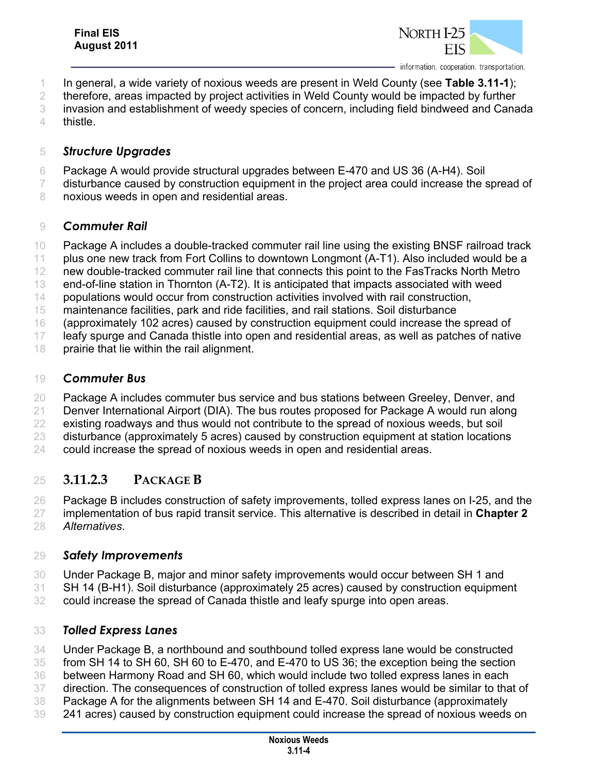

- In general, a wide variety of noxious weeds are present in Weld County (see **Table 3.11-1**);
- 2 therefore, areas impacted by project activities in Weld County would be impacted by further
- invasion and establishment of weedy species of concern, including field bindweed and Canada
- thistle.

#### *Structure Upgrades*

- Package A would provide structural upgrades between E-470 and US 36 (A-H4). Soil
- 7 disturbance caused by construction equipment in the project area could increase the spread of
- 8 noxious weeds in open and residential areas.

#### *Commuter Rail*

- Package A includes a double-tracked commuter rail line using the existing BNSF railroad track
- plus one new track from Fort Collins to downtown Longmont (A-T1). Also included would be a
- new double-tracked commuter rail line that connects this point to the FasTracks North Metro
- end-of-line station in Thornton (A-T2). It is anticipated that impacts associated with weed
- 14 populations would occur from construction activities involved with rail construction,
- maintenance facilities, park and ride facilities, and rail stations. Soil disturbance
- (approximately 102 acres) caused by construction equipment could increase the spread of
- leafy spurge and Canada thistle into open and residential areas, as well as patches of native
- prairie that lie within the rail alignment.

#### *Commuter Bus*

- Package A includes commuter bus service and bus stations between Greeley, Denver, and
- 21 Denver International Airport (DIA). The bus routes proposed for Package A would run along
- existing roadways and thus would not contribute to the spread of noxious weeds, but soil
- disturbance (approximately 5 acres) caused by construction equipment at station locations
- could increase the spread of noxious weeds in open and residential areas.

## **3.11.2.3 PACKAGE B**

- Package B includes construction of safety improvements, tolled express lanes on I-25, and the implementation of bus rapid transit service. This alternative is described in detail in **Chapter 2** *Alternatives*.
- 

### *Safety Improvements*

- Under Package B, major and minor safety improvements would occur between SH 1 and
- SH 14 (B-H1). Soil disturbance (approximately 25 acres) caused by construction equipment
- could increase the spread of Canada thistle and leafy spurge into open areas.

### *Tolled Express Lanes*

Under Package B, a northbound and southbound tolled express lane would be constructed

- from SH 14 to SH 60, SH 60 to E-470, and E-470 to US 36; the exception being the section
- between Harmony Road and SH 60, which would include two tolled express lanes in each direction. The consequences of construction of tolled express lanes would be similar to that of
- Package A for the alignments between SH 14 and E-470. Soil disturbance (approximately
- 241 acres) caused by construction equipment could increase the spread of noxious weeds on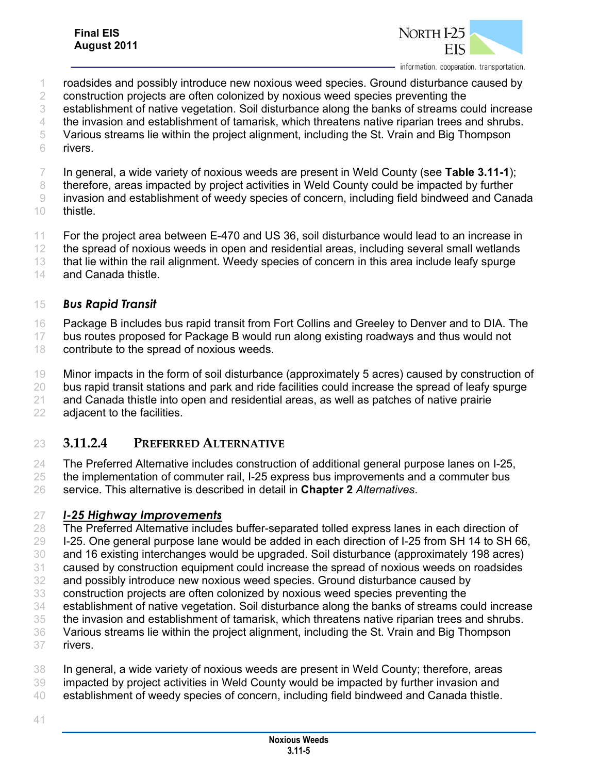

information. cooperation. transportation.

- roadsides and possibly introduce new noxious weed species. Ground disturbance caused by
- 2 construction projects are often colonized by noxious weed species preventing the
- establishment of native vegetation. Soil disturbance along the banks of streams could increase
- the invasion and establishment of tamarisk, which threatens native riparian trees and shrubs.
- Various streams lie within the project alignment, including the St. Vrain and Big Thompson
- rivers.
- In general, a wide variety of noxious weeds are present in Weld County (see **Table 3.11-1**);
- 8 therefore, areas impacted by project activities in Weld County could be impacted by further
- invasion and establishment of weedy species of concern, including field bindweed and Canada
- thistle.

11 For the project area between E-470 and US 36, soil disturbance would lead to an increase in

the spread of noxious weeds in open and residential areas, including several small wetlands

- that lie within the rail alignment. Weedy species of concern in this area include leafy spurge
- 14 and Canada thistle.

#### *Bus Rapid Transit*

16 Package B includes bus rapid transit from Fort Collins and Greeley to Denver and to DIA. The

- bus routes proposed for Package B would run along existing roadways and thus would not contribute to the spread of noxious weeds.
- Minor impacts in the form of soil disturbance (approximately 5 acres) caused by construction of
- 20 bus rapid transit stations and park and ride facilities could increase the spread of leafy spurge
- and Canada thistle into open and residential areas, as well as patches of native prairie adjacent to the facilities.

## **3.11.2.4 PREFERRED ALTERNATIVE**

 The Preferred Alternative includes construction of additional general purpose lanes on I-25, the implementation of commuter rail, I-25 express bus improvements and a commuter bus

service. This alternative is described in detail in **Chapter 2** *Alternatives*.

### *I-25 Highway Improvements*

28 The Preferred Alternative includes buffer-separated tolled express lanes in each direction of I-25. One general purpose lane would be added in each direction of I-25 from SH 14 to SH 66,

- and 16 existing interchanges would be upgraded. Soil disturbance (approximately 198 acres)
- caused by construction equipment could increase the spread of noxious weeds on roadsides
- and possibly introduce new noxious weed species. Ground disturbance caused by
- construction projects are often colonized by noxious weed species preventing the
- establishment of native vegetation. Soil disturbance along the banks of streams could increase
- the invasion and establishment of tamarisk, which threatens native riparian trees and shrubs.
- Various streams lie within the project alignment, including the St. Vrain and Big Thompson
- rivers.
- In general, a wide variety of noxious weeds are present in Weld County; therefore, areas
- impacted by project activities in Weld County would be impacted by further invasion and
- establishment of weedy species of concern, including field bindweed and Canada thistle.
-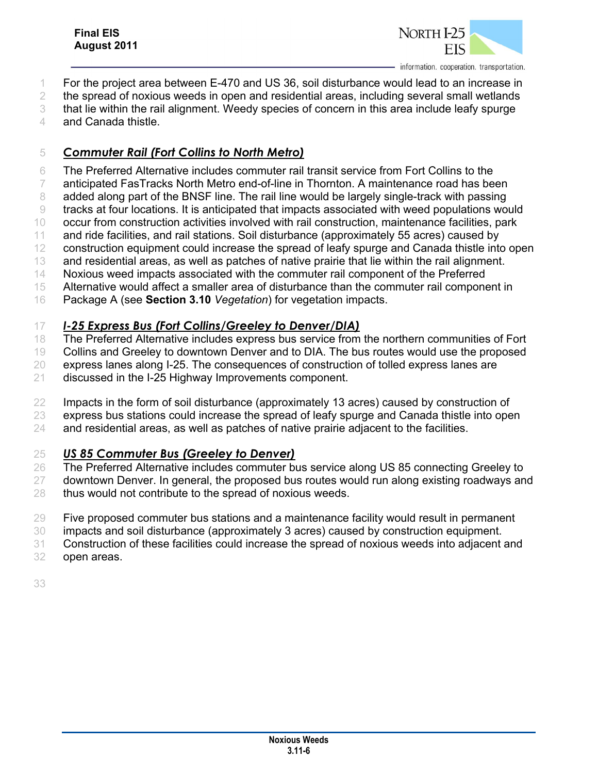

information, cooperation, transportation.

- For the project area between E-470 and US 36, soil disturbance would lead to an increase in
- 2 the spread of noxious weeds in open and residential areas, including several small wetlands
- that lie within the rail alignment. Weedy species of concern in this area include leafy spurge
- and Canada thistle.

#### *Commuter Rail (Fort Collins to North Metro)*

The Preferred Alternative includes commuter rail transit service from Fort Collins to the

- anticipated FasTracks North Metro end-of-line in Thornton. A maintenance road has been
- 8 added along part of the BNSF line. The rail line would be largely single-track with passing
- tracks at four locations. It is anticipated that impacts associated with weed populations would
- occur from construction activities involved with rail construction, maintenance facilities, park
- 11 and ride facilities, and rail stations. Soil disturbance (approximately 55 acres) caused by 12 construction equipment could increase the spread of leafy spurge and Canada thistle into open
- and residential areas, as well as patches of native prairie that lie within the rail alignment.
- Noxious weed impacts associated with the commuter rail component of the Preferred
- 15 Alternative would affect a smaller area of disturbance than the commuter rail component in
- Package A (see **Section 3.10** *Vegetation*) for vegetation impacts.

### *I-25 Express Bus (Fort Collins/Greeley to Denver/DIA)*

- 18 The Preferred Alternative includes express bus service from the northern communities of Fort
- Collins and Greeley to downtown Denver and to DIA. The bus routes would use the proposed
- express lanes along I-25. The consequences of construction of tolled express lanes are
- discussed in the I-25 Highway Improvements component.
- 22 Impacts in the form of soil disturbance (approximately 13 acres) caused by construction of
- express bus stations could increase the spread of leafy spurge and Canada thistle into open
- and residential areas, as well as patches of native prairie adjacent to the facilities.

### *US 85 Commuter Bus (Greeley to Denver)*

- 26 The Preferred Alternative includes commuter bus service along US 85 connecting Greeley to
- 27 downtown Denver. In general, the proposed bus routes would run along existing roadways and thus would not contribute to the spread of noxious weeds.
- Five proposed commuter bus stations and a maintenance facility would result in permanent
- impacts and soil disturbance (approximately 3 acres) caused by construction equipment.
- Construction of these facilities could increase the spread of noxious weeds into adjacent and
- open areas.
-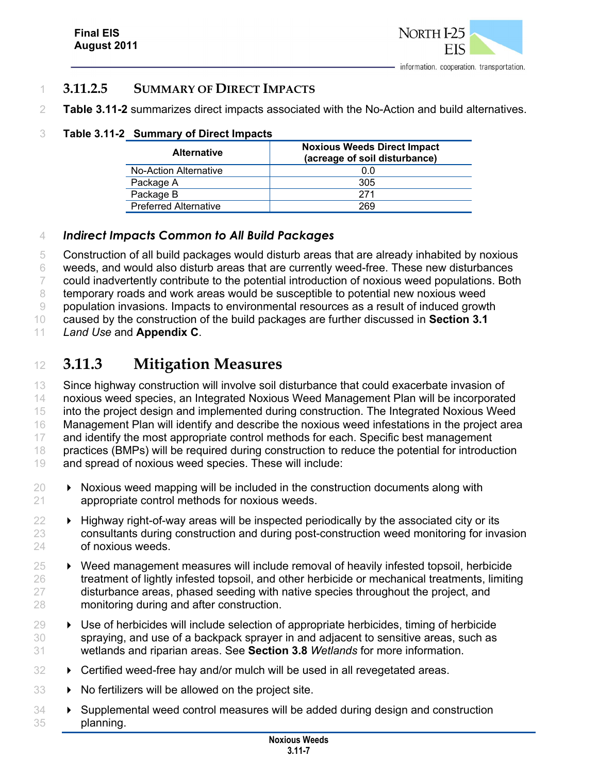

#### 1 **3.11.2.5 SUMMARY OF DIRECT IMPACTS**

2 **Table 3.11-2** summarizes direct impacts associated with the No-Action and build alternatives.

#### 3 **Table 3.11-2 Summary of Direct Impacts**

| <b>Alternative</b>           | <b>Noxious Weeds Direct Impact</b><br>(acreage of soil disturbance) |  |  |  |  |
|------------------------------|---------------------------------------------------------------------|--|--|--|--|
| No-Action Alternative        | 0.0                                                                 |  |  |  |  |
| Package A                    | 305                                                                 |  |  |  |  |
| Package B                    | 271                                                                 |  |  |  |  |
| <b>Preferred Alternative</b> | 269                                                                 |  |  |  |  |

#### 4 *Indirect Impacts Common to All Build Packages*

 Construction of all build packages would disturb areas that are already inhabited by noxious weeds, and would also disturb areas that are currently weed-free. These new disturbances could inadvertently contribute to the potential introduction of noxious weed populations. Both 8 temporary roads and work areas would be susceptible to potential new noxious weed population invasions. Impacts to environmental resources as a result of induced growth

10 caused by the construction of the build packages are further discussed in **Section 3.1**

11 *Land Use* and **Appendix C**.

## <sup>12</sup> **3.11.3 Mitigation Measures**

13 Since highway construction will involve soil disturbance that could exacerbate invasion of 14 noxious weed species, an Integrated Noxious Weed Management Plan will be incorporated 15 into the project design and implemented during construction. The Integrated Noxious Weed 16 Management Plan will identify and describe the noxious weed infestations in the project area 17 and identify the most appropriate control methods for each. Specific best management 18 practices (BMPs) will be required during construction to reduce the potential for introduction 19 and spread of noxious weed species. These will include:

- $20 \rightarrow$  Noxious weed mapping will be included in the construction documents along with 21 appropriate control methods for noxious weeds.
- $22 \rightarrow$  Highway right-of-way areas will be inspected periodically by the associated city or its 23 consultants during construction and during post-construction weed monitoring for invasion 24 of noxious weeds.
- 25 Weed management measures will include removal of heavily infested topsoil, herbicide 26 treatment of lightly infested topsoil, and other herbicide or mechanical treatments, limiting 27 disturbance areas, phased seeding with native species throughout the project, and 28 monitoring during and after construction.
- $29 \rightarrow$  Use of herbicides will include selection of appropriate herbicides, timing of herbicide 30 spraying, and use of a backpack sprayer in and adjacent to sensitive areas, such as 31 wetlands and riparian areas. See **Section 3.8** *Wetlands* for more information.
- 32 **EX** Certified weed-free hay and/or mulch will be used in all revegetated areas.
- $33 \rightarrow$  No fertilizers will be allowed on the project site.
- 34 **EX** Supplemental weed control measures will be added during design and construction 35 planning.